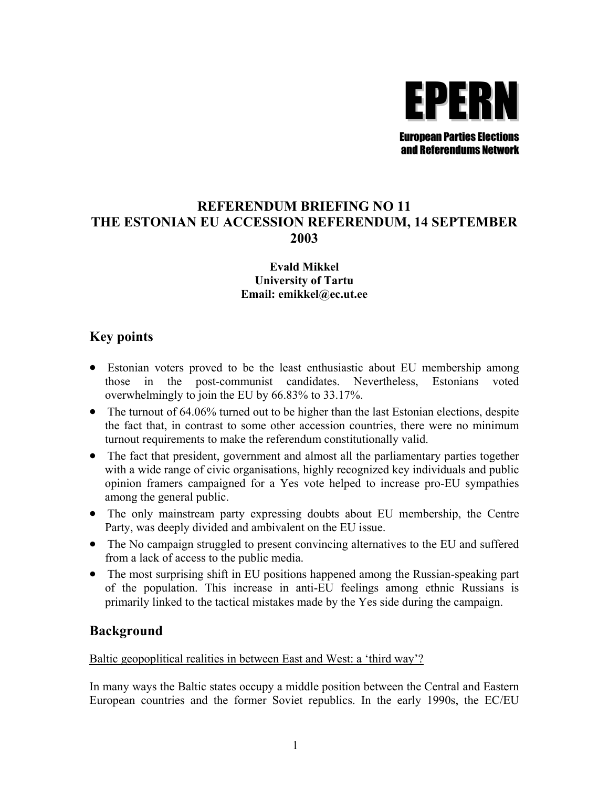

## **REFERENDUM BRIEFING NO 11 THE ESTONIAN EU ACCESSION REFERENDUM, 14 SEPTEMBER 2003**

#### **Evald Mikkel University of Tartu Email: emikkel@ec.ut.ee**

### **Key points**

- Estonian voters proved to be the least enthusiastic about EU membership among those in the post-communist candidates. Nevertheless, Estonians voted overwhelmingly to join the EU by 66.83% to 33.17%.
- The turnout of 64.06% turned out to be higher than the last Estonian elections, despite the fact that, in contrast to some other accession countries, there were no minimum turnout requirements to make the referendum constitutionally valid.
- The fact that president, government and almost all the parliamentary parties together with a wide range of civic organisations, highly recognized key individuals and public opinion framers campaigned for a Yes vote helped to increase pro-EU sympathies among the general public.
- The only mainstream party expressing doubts about EU membership, the Centre Party, was deeply divided and ambivalent on the EU issue.
- The No campaign struggled to present convincing alternatives to the EU and suffered from a lack of access to the public media.
- The most surprising shift in EU positions happened among the Russian-speaking part of the population. This increase in anti-EU feelings among ethnic Russians is primarily linked to the tactical mistakes made by the Yes side during the campaign.

### **Background**

#### Baltic geopoplitical realities in between East and West: a 'third way'?

In many ways the Baltic states occupy a middle position between the Central and Eastern European countries and the former Soviet republics. In the early 1990s, the EC/EU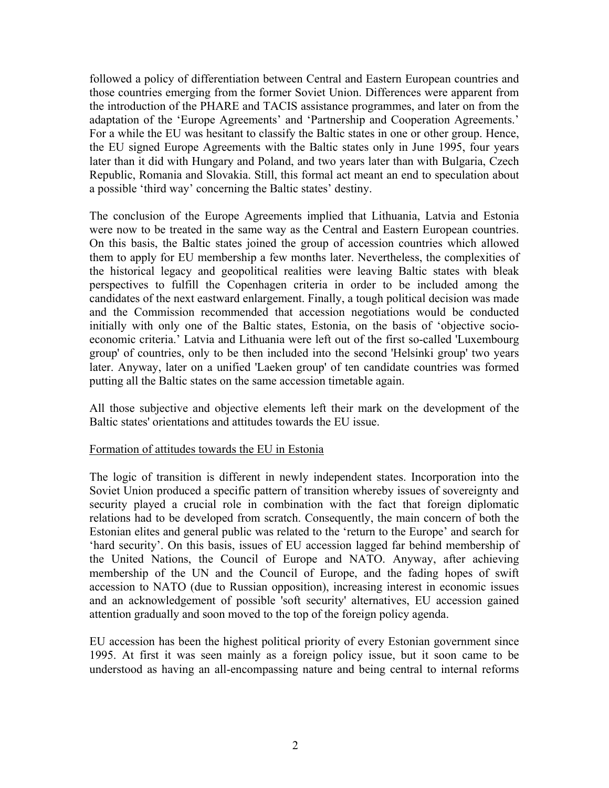followed a policy of differentiation between Central and Eastern European countries and those countries emerging from the former Soviet Union. Differences were apparent from the introduction of the PHARE and TACIS assistance programmes, and later on from the adaptation of the 'Europe Agreements' and 'Partnership and Cooperation Agreements.' For a while the EU was hesitant to classify the Baltic states in one or other group. Hence, the EU signed Europe Agreements with the Baltic states only in June 1995, four years later than it did with Hungary and Poland, and two years later than with Bulgaria, Czech Republic, Romania and Slovakia. Still, this formal act meant an end to speculation about a possible 'third way' concerning the Baltic states' destiny.

The conclusion of the Europe Agreements implied that Lithuania, Latvia and Estonia were now to be treated in the same way as the Central and Eastern European countries. On this basis, the Baltic states joined the group of accession countries which allowed them to apply for EU membership a few months later. Nevertheless, the complexities of the historical legacy and geopolitical realities were leaving Baltic states with bleak perspectives to fulfill the Copenhagen criteria in order to be included among the candidates of the next eastward enlargement. Finally, a tough political decision was made and the Commission recommended that accession negotiations would be conducted initially with only one of the Baltic states, Estonia, on the basis of 'objective socioeconomic criteria.' Latvia and Lithuania were left out of the first so-called 'Luxembourg group' of countries, only to be then included into the second 'Helsinki group' two years later. Anyway, later on a unified 'Laeken group' of ten candidate countries was formed putting all the Baltic states on the same accession timetable again.

All those subjective and objective elements left their mark on the development of the Baltic states' orientations and attitudes towards the EU issue.

#### Formation of attitudes towards the EU in Estonia

The logic of transition is different in newly independent states. Incorporation into the Soviet Union produced a specific pattern of transition whereby issues of sovereignty and security played a crucial role in combination with the fact that foreign diplomatic relations had to be developed from scratch. Consequently, the main concern of both the Estonian elites and general public was related to the 'return to the Europe' and search for 'hard security'. On this basis, issues of EU accession lagged far behind membership of the United Nations, the Council of Europe and NATO. Anyway, after achieving membership of the UN and the Council of Europe, and the fading hopes of swift accession to NATO (due to Russian opposition), increasing interest in economic issues and an acknowledgement of possible 'soft security' alternatives, EU accession gained attention gradually and soon moved to the top of the foreign policy agenda.

EU accession has been the highest political priority of every Estonian government since 1995. At first it was seen mainly as a foreign policy issue, but it soon came to be understood as having an all-encompassing nature and being central to internal reforms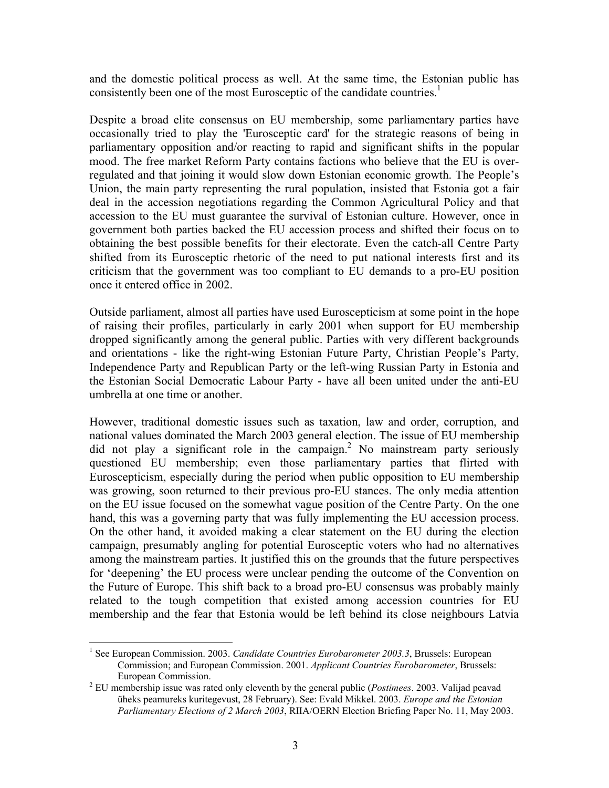and the domestic political process as well. At the same time, the Estonian public has consistently been one of the most Eurosceptic of the candidate countries.<sup>[1](#page-2-0)</sup>

Despite a broad elite consensus on EU membership, some parliamentary parties have occasionally tried to play the 'Eurosceptic card' for the strategic reasons of being in parliamentary opposition and/or reacting to rapid and significant shifts in the popular mood. The free market Reform Party contains factions who believe that the EU is overregulated and that joining it would slow down Estonian economic growth. The People's Union, the main party representing the rural population, insisted that Estonia got a fair deal in the accession negotiations regarding the Common Agricultural Policy and that accession to the EU must guarantee the survival of Estonian culture. However, once in government both parties backed the EU accession process and shifted their focus on to obtaining the best possible benefits for their electorate. Even the catch-all Centre Party shifted from its Eurosceptic rhetoric of the need to put national interests first and its criticism that the government was too compliant to EU demands to a pro-EU position once it entered office in 2002.

Outside parliament, almost all parties have used Euroscepticism at some point in the hope of raising their profiles, particularly in early 2001 when support for EU membership dropped significantly among the general public. Parties with very different backgrounds and orientations - like the right-wing Estonian Future Party, Christian People's Party, Independence Party and Republican Party or the left-wing Russian Party in Estonia and the Estonian Social Democratic Labour Party - have all been united under the anti-EU umbrella at one time or another.

However, traditional domestic issues such as taxation, law and order, corruption, and national values dominated the March 2003 general election. The issue of EU membership did not play a significant role in the campaign.<sup>2</sup> No mainstream party seriously questioned EU membership; even those parliamentary parties that flirted with Euroscepticism, especially during the period when public opposition to EU membership was growing, soon returned to their previous pro-EU stances. The only media attention on the EU issue focused on the somewhat vague position of the Centre Party. On the one hand, this was a governing party that was fully implementing the EU accession process. On the other hand, it avoided making a clear statement on the EU during the election campaign, presumably angling for potential Eurosceptic voters who had no alternatives among the mainstream parties. It justified this on the grounds that the future perspectives for 'deepening' the EU process were unclear pending the outcome of the Convention on the Future of Europe. This shift back to a broad pro-EU consensus was probably mainly related to the tough competition that existed among accession countries for EU membership and the fear that Estonia would be left behind its close neighbours Latvia

1

<span id="page-2-0"></span><sup>&</sup>lt;sup>1</sup> See European Commission. 2003. *Candidate Countries Eurobarometer 2003.3*, Brussels: European Commission; and European Commission. 2001. *Applicant Countries Eurobarometer*, Brussels: European Commission. 2

<span id="page-2-1"></span>EU membership issue was rated only eleventh by the general public (*Postimees*. 2003. Valijad peavad üheks peamureks kuritegevust, 28 February). See: Evald Mikkel. 2003. *Europe and the Estonian Parliamentary Elections of 2 March 2003*, RIIA/OERN Election Briefing Paper No. 11, May 2003.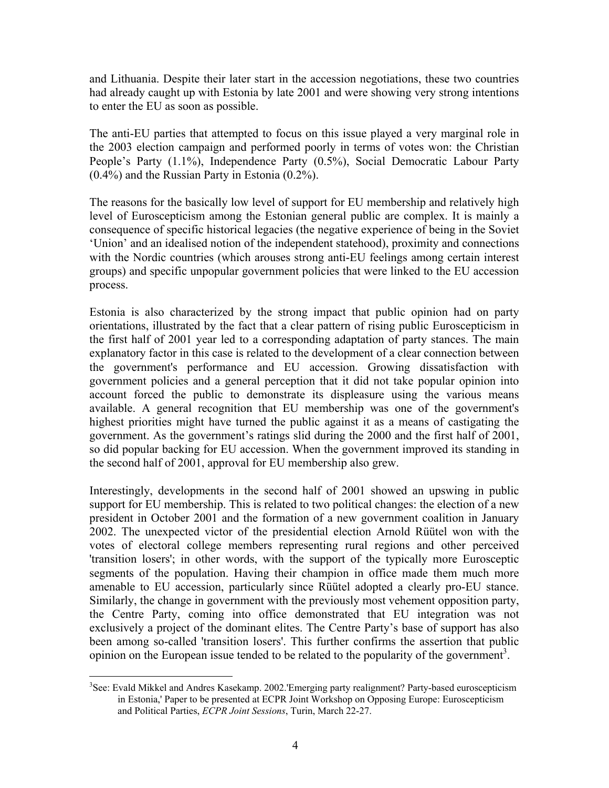and Lithuania. Despite their later start in the accession negotiations, these two countries had already caught up with Estonia by late 2001 and were showing very strong intentions to enter the EU as soon as possible.

The anti-EU parties that attempted to focus on this issue played a very marginal role in the 2003 election campaign and performed poorly in terms of votes won: the Christian People's Party (1.1%), Independence Party (0.5%), Social Democratic Labour Party (0.4%) and the Russian Party in Estonia (0.2%).

The reasons for the basically low level of support for EU membership and relatively high level of Euroscepticism among the Estonian general public are complex. It is mainly a consequence of specific historical legacies (the negative experience of being in the Soviet 'Union' and an idealised notion of the independent statehood), proximity and connections with the Nordic countries (which arouses strong anti-EU feelings among certain interest groups) and specific unpopular government policies that were linked to the EU accession process.

Estonia is also characterized by the strong impact that public opinion had on party orientations, illustrated by the fact that a clear pattern of rising public Euroscepticism in the first half of 2001 year led to a corresponding adaptation of party stances. The main explanatory factor in this case is related to the development of a clear connection between the government's performance and EU accession. Growing dissatisfaction with government policies and a general perception that it did not take popular opinion into account forced the public to demonstrate its displeasure using the various means available. A general recognition that EU membership was one of the government's highest priorities might have turned the public against it as a means of castigating the government. As the government's ratings slid during the 2000 and the first half of 2001, so did popular backing for EU accession. When the government improved its standing in the second half of 2001, approval for EU membership also grew.

Interestingly, developments in the second half of 2001 showed an upswing in public support for EU membership. This is related to two political changes: the election of a new president in October 2001 and the formation of a new government coalition in January 2002. The unexpected victor of the presidential election Arnold Rüütel won with the votes of electoral college members representing rural regions and other perceived 'transition losers'; in other words, with the support of the typically more Eurosceptic segments of the population. Having their champion in office made them much more amenable to EU accession, particularly since Rüütel adopted a clearly pro-EU stance. Similarly, the change in government with the previously most vehement opposition party, the Centre Party, coming into office demonstrated that EU integration was not exclusively a project of the dominant elites. The Centre Party's base of support has also been among so-called 'transition losers'. This further confirms the assertion that public opinion on the European issue tended to be related to the popularity of the government<sup>3</sup>.

<span id="page-3-0"></span> $\overline{a}$ <sup>3</sup>See: Evald Mikkel and Andres Kasekamp. 2002.'Emerging party realignment? Party-based euroscepticism in Estonia,' Paper to be presented at ECPR Joint Workshop on Opposing Europe: Euroscepticism and Political Parties, *ECPR Joint Sessions*, Turin, March 22-27.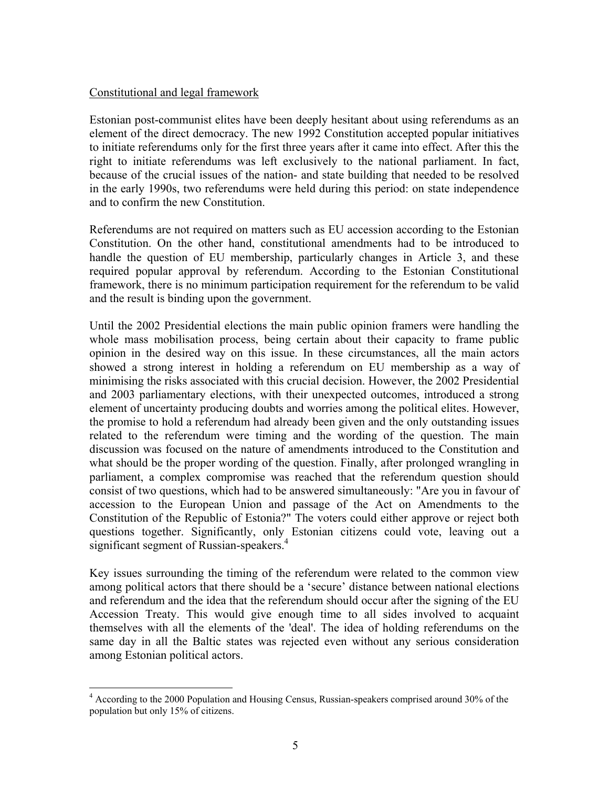#### Constitutional and legal framework

 $\overline{a}$ 

Estonian post-communist elites have been deeply hesitant about using referendums as an element of the direct democracy. The new 1992 Constitution accepted popular initiatives to initiate referendums only for the first three years after it came into effect. After this the right to initiate referendums was left exclusively to the national parliament. In fact, because of the crucial issues of the nation- and state building that needed to be resolved in the early 1990s, two referendums were held during this period: on state independence and to confirm the new Constitution.

Referendums are not required on matters such as EU accession according to the Estonian Constitution. On the other hand, constitutional amendments had to be introduced to handle the question of EU membership, particularly changes in Article 3, and these required popular approval by referendum. According to the Estonian Constitutional framework, there is no minimum participation requirement for the referendum to be valid and the result is binding upon the government.

Until the 2002 Presidential elections the main public opinion framers were handling the whole mass mobilisation process, being certain about their capacity to frame public opinion in the desired way on this issue. In these circumstances, all the main actors showed a strong interest in holding a referendum on EU membership as a way of minimising the risks associated with this crucial decision. However, the 2002 Presidential and 2003 parliamentary elections, with their unexpected outcomes, introduced a strong element of uncertainty producing doubts and worries among the political elites. However, the promise to hold a referendum had already been given and the only outstanding issues related to the referendum were timing and the wording of the question. The main discussion was focused on the nature of amendments introduced to the Constitution and what should be the proper wording of the question. Finally, after prolonged wrangling in parliament, a complex compromise was reached that the referendum question should consist of two questions, which had to be answered simultaneously: "Are you in favour of accession to the European Union and passage of the Act on Amendments to the Constitution of the Republic of Estonia?" The voters could either approve or reject both questions together. Significantly, only Estonian citizens could vote, leaving out a significant segment of Russian-speakers.<sup>4</sup>

Key issues surrounding the timing of the referendum were related to the common view among political actors that there should be a 'secure' distance between national elections and referendum and the idea that the referendum should occur after the signing of the EU Accession Treaty. This would give enough time to all sides involved to acquaint themselves with all the elements of the 'deal'. The idea of holding referendums on the same day in all the Baltic states was rejected even without any serious consideration among Estonian political actors.

<span id="page-4-0"></span><sup>&</sup>lt;sup>4</sup> According to the 2000 Population and Housing Census, Russian-speakers comprised around 30% of the population but only 15% of citizens.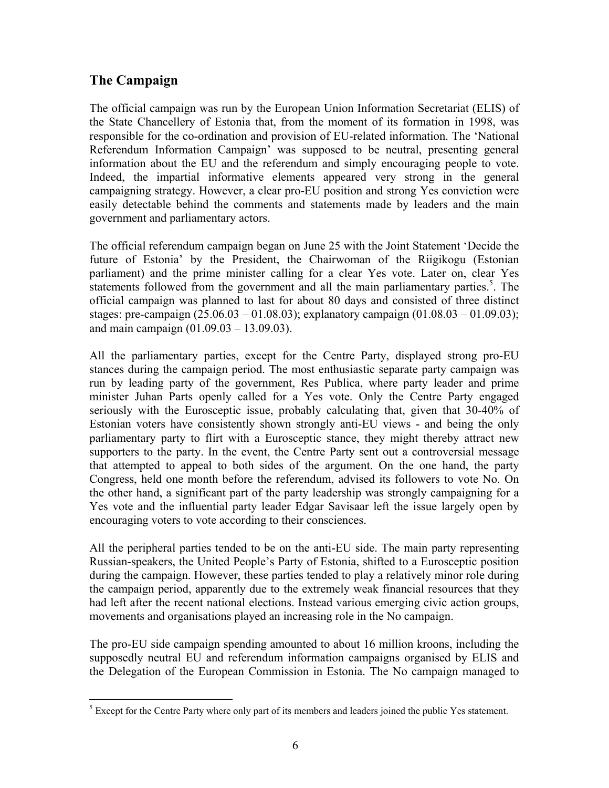# **The Campaign**

 $\overline{a}$ 

The official campaign was run by the European Union Information Secretariat (ELIS) of the State Chancellery of Estonia that, from the moment of its formation in 1998, was responsible for the co-ordination and provision of EU-related information. The 'National Referendum Information Campaign' was supposed to be neutral, presenting general information about the EU and the referendum and simply encouraging people to vote. Indeed, the impartial informative elements appeared very strong in the general campaigning strategy. However, a clear pro-EU position and strong Yes conviction were easily detectable behind the comments and statements made by leaders and the main government and parliamentary actors.

The official referendum campaign began on June 25 with the Joint Statement 'Decide the future of Estonia' by the President, the Chairwoman of the Riigikogu (Estonian parliament) and the prime minister calling for a clear Yes vote. Later on, clear Yes statements followed from the government and all the main parliamentary parties.<sup>5</sup>. The official campaign was planned to last for about 80 days and consisted of three distinct stages: pre-campaign  $(25.06.03 - 01.08.03)$ ; explanatory campaign  $(01.08.03 - 01.09.03)$ ; and main campaign (01.09.03 – 13.09.03).

All the parliamentary parties, except for the Centre Party, displayed strong pro-EU stances during the campaign period. The most enthusiastic separate party campaign was run by leading party of the government, Res Publica, where party leader and prime minister Juhan Parts openly called for a Yes vote. Only the Centre Party engaged seriously with the Eurosceptic issue, probably calculating that, given that 30-40% of Estonian voters have consistently shown strongly anti-EU views - and being the only parliamentary party to flirt with a Eurosceptic stance, they might thereby attract new supporters to the party. In the event, the Centre Party sent out a controversial message that attempted to appeal to both sides of the argument. On the one hand, the party Congress, held one month before the referendum, advised its followers to vote No. On the other hand, a significant part of the party leadership was strongly campaigning for a Yes vote and the influential party leader Edgar Savisaar left the issue largely open by encouraging voters to vote according to their consciences.

All the peripheral parties tended to be on the anti-EU side. The main party representing Russian-speakers, the United People's Party of Estonia, shifted to a Eurosceptic position during the campaign. However, these parties tended to play a relatively minor role during the campaign period, apparently due to the extremely weak financial resources that they had left after the recent national elections. Instead various emerging civic action groups, movements and organisations played an increasing role in the No campaign.

The pro-EU side campaign spending amounted to about 16 million kroons, including the supposedly neutral EU and referendum information campaigns organised by ELIS and the Delegation of the European Commission in Estonia. The No campaign managed to

<span id="page-5-0"></span> $<sup>5</sup>$  Except for the Centre Party where only part of its members and leaders joined the public Yes statement.</sup>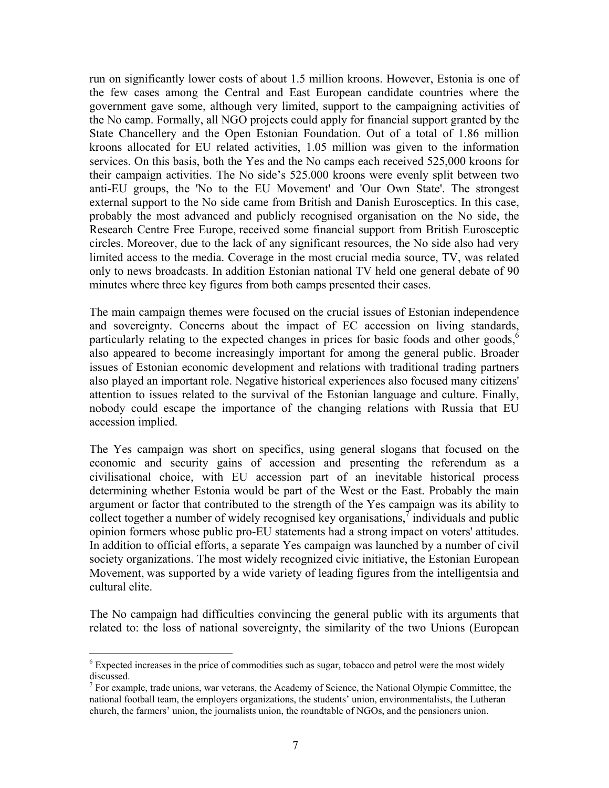run on significantly lower costs of about 1.5 million kroons. However, Estonia is one of the few cases among the Central and East European candidate countries where the government gave some, although very limited, support to the campaigning activities of the No camp. Formally, all NGO projects could apply for financial support granted by the State Chancellery and the Open Estonian Foundation. Out of a total of 1.86 million kroons allocated for EU related activities, 1.05 million was given to the information services. On this basis, both the Yes and the No camps each received 525,000 kroons for their campaign activities. The No side's 525.000 kroons were evenly split between two anti-EU groups, the 'No to the EU Movement' and 'Our Own State'. The strongest external support to the No side came from British and Danish Eurosceptics. In this case, probably the most advanced and publicly recognised organisation on the No side, the Research Centre Free Europe, received some financial support from British Eurosceptic circles. Moreover, due to the lack of any significant resources, the No side also had very limited access to the media. Coverage in the most crucial media source, TV, was related only to news broadcasts. In addition Estonian national TV held one general debate of 90 minutes where three key figures from both camps presented their cases.

The main campaign themes were focused on the crucial issues of Estonian independence and sovereignty. Concerns about the impact of EC accession on living standards, particularly relating to the expected changes in prices for basic foods and other goods,<sup>6</sup> also appeared to become increasingly important for among the general public. Broader issues of Estonian economic development and relations with traditional trading partners also played an important role. Negative historical experiences also focused many citizens' attention to issues related to the survival of the Estonian language and culture. Finally, nobody could escape the importance of the changing relations with Russia that EU accession implied.

The Yes campaign was short on specifics, using general slogans that focused on the economic and security gains of accession and presenting the referendum as a civilisational choice, with EU accession part of an inevitable historical process determining whether Estonia would be part of the West or the East. Probably the main argument or factor that contributed to the strength of the Yes campaign was its ability to collect together a number of widely recognised key organisations, $\tau$  individuals and public opinion formers whose public pro-EU statements had a strong impact on voters' attitudes. In addition to official efforts, a separate Yes campaign was launched by a number of civil society organizations. The most widely recognized civic initiative, the Estonian European Movement, was supported by a wide variety of leading figures from the intelligentsia and cultural elite.

The No campaign had difficulties convincing the general public with its arguments that related to: the loss of national sovereignty, the similarity of the two Unions (European

1

<span id="page-6-0"></span><sup>&</sup>lt;sup>6</sup> Expected increases in the price of commodities such as sugar, tobacco and petrol were the most widely discussed.

<span id="page-6-1"></span> $7$  For example, trade unions, war veterans, the Academy of Science, the National Olympic Committee, the national football team, the employers organizations, the students' union, environmentalists, the Lutheran church, the farmers' union, the journalists union, the roundtable of NGOs, and the pensioners union.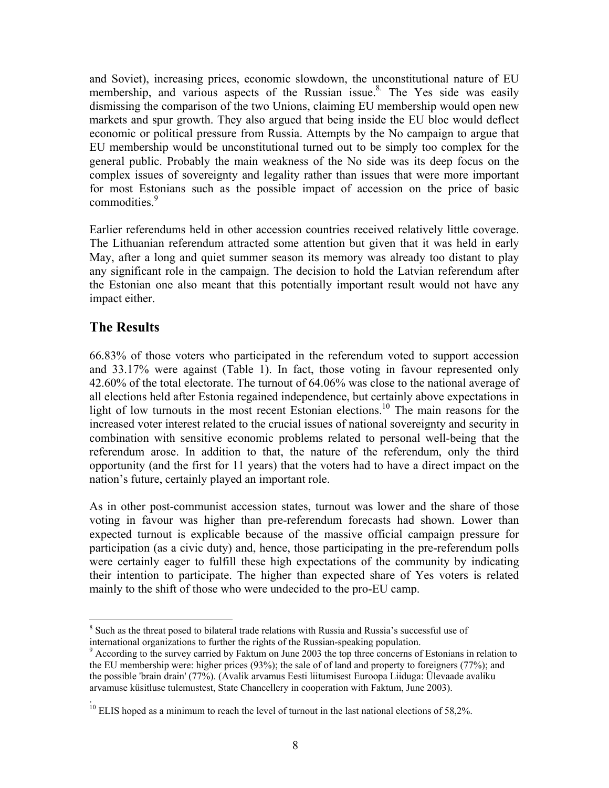and Soviet), increasing prices, economic slowdown, the unconstitutional nature of EU membership, and various aspects of the Russian issue.<sup>8.</sup> The Yes side was easily dismissing the comparison of the two Unions, claiming EU membership would open new markets and spur growth. They also argued that being inside the EU bloc would deflect economic or political pressure from Russia. Attempts by the No campaign to argue that EU membership would be unconstitutional turned out to be simply too complex for the general public. Probably the main weakness of the No side was its deep focus on the complex issues of sovereignty and legality rather than issues that were more important for most Estonians such as the possible impact of accession on the price of basic commodities.<sup>9</sup>

Earlier referendums held in other accession countries received relatively little coverage. The Lithuanian referendum attracted some attention but given that it was held in early May, after a long and quiet summer season its memory was already too distant to play any significant role in the campaign. The decision to hold the Latvian referendum after the Estonian one also meant that this potentially important result would not have any impact either.

## **The Results**

1

66.83% of those voters who participated in the referendum voted to support accession and 33.17% were against (Table 1). In fact, those voting in favour represented only 42.60% of the total electorate. The turnout of 64.06% was close to the national average of all elections held after Estonia regained independence, but certainly above expectations in light of low turnouts in the most recent Estonian elections.<sup>10</sup> The main reasons for the increased voter interest related to the crucial issues of national sovereignty and security in combination with sensitive economic problems related to personal well-being that the referendum arose. In addition to that, the nature of the referendum, only the third opportunity (and the first for 11 years) that the voters had to have a direct impact on the nation's future, certainly played an important role.

As in other post-communist accession states, turnout was lower and the share of those voting in favour was higher than pre-referendum forecasts had shown. Lower than expected turnout is explicable because of the massive official campaign pressure for participation (as a civic duty) and, hence, those participating in the pre-referendum polls were certainly eager to fulfill these high expectations of the community by indicating their intention to participate. The higher than expected share of Yes voters is related mainly to the shift of those who were undecided to the pro-EU camp.

<span id="page-7-0"></span><sup>&</sup>lt;sup>8</sup> Such as the threat posed to bilateral trade relations with Russia and Russia's successful use of international organizations to further the rights of the Russian-speaking population. <sup>9</sup>

<span id="page-7-1"></span><sup>&</sup>lt;sup>9</sup> According to the survey carried by Faktum on June 2003 the top three concerns of Estonians in relation to the EU membership were: higher prices (93%); the sale of of land and property to foreigners (77%); and the possible 'brain drain' (77%). (Avalik arvamus Eesti liitumisest Euroopa Liiduga: Ülevaade avaliku arvamuse küsitluse tulemustest, State Chancellery in cooperation with Faktum, June 2003).

<span id="page-7-2"></span><sup>.</sup>   $10$  ELIS hoped as a minimum to reach the level of turnout in the last national elections of 58,2%.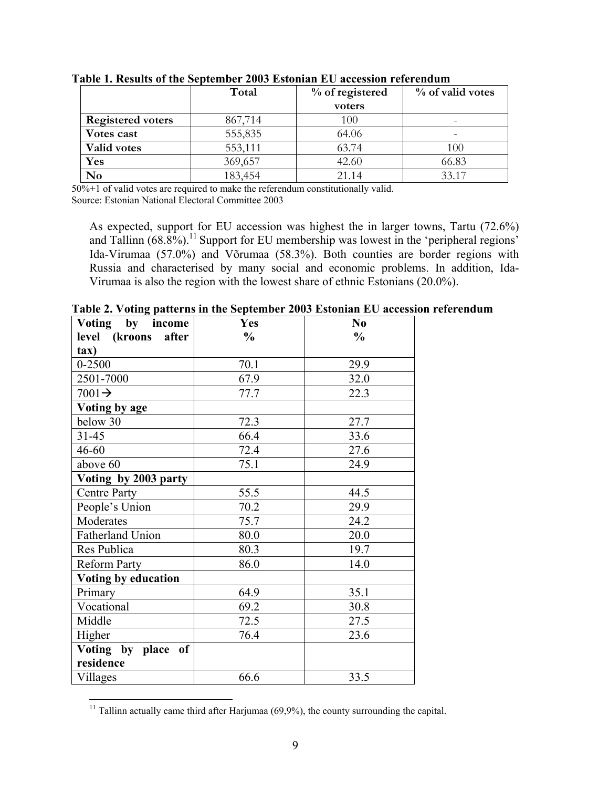|                          | Total   | % of registered | % of valid votes |
|--------------------------|---------|-----------------|------------------|
|                          |         | voters          |                  |
| <b>Registered voters</b> | 867,714 | 100             |                  |
| Votes cast               | 555,835 | 64.06           |                  |
| <b>Valid votes</b>       | 553,111 | 63.74           | 100              |
| Yes                      | 369,657 | 42.60           | 66.83            |
| No                       | 183,454 | 21.14           | 33.17            |

**Table 1. Results of the September 2003 Estonian EU accession referendum** 

50%+1 of valid votes are required to make the referendum constitutionally valid. Source: Estonian National Electoral Committee 2003

As expected, support for EU accession was highest the in larger towns, Tartu (72.6%) and Tallinn  $(68.8\%)$ .<sup>11</sup> Support for EU membership was lowest in the 'peripheral regions' Ida-Virumaa (57.0%) and Võrumaa (58.3%). Both counties are border regions with Russia and characterised by many social and economic problems. In addition, Ida-Virumaa is also the region with the lowest share of ethnic Estonians (20.0%).

| Voting by income       | <b>Yes</b>    | N <sub>0</sub> |
|------------------------|---------------|----------------|
| after<br>level (kroons | $\frac{6}{9}$ | $\frac{0}{0}$  |
| $\tan$                 |               |                |
| $0 - 2500$             | 70.1          | 29.9           |
| 2501-7000              | 67.9          | 32.0           |
| $7001 \rightarrow$     | 77.7          | 22.3           |
| Voting by age          |               |                |
| below 30               | 72.3          | 27.7           |
| $31 - 45$              | 66.4          | 33.6           |
| 46-60                  | 72.4          | 27.6           |
| above 60               | 75.1          | 24.9           |
| Voting by 2003 party   |               |                |
| <b>Centre Party</b>    | 55.5          | 44.5           |
| People's Union         | 70.2          | 29.9           |
| Moderates              | 75.7          | 24.2           |
| Fatherland Union       | 80.0          | 20.0           |
| Res Publica            | 80.3          | 19.7           |
| <b>Reform Party</b>    | 86.0          | 14.0           |
| Voting by education    |               |                |
| Primary                | 64.9          | 35.1           |
| Vocational             | 69.2          | 30.8           |
| Middle                 | 72.5          | 27.5           |
| Higher                 | 76.4          | 23.6           |
| Voting by place of     |               |                |
| residence              |               |                |
| Villages               | 66.6          | 33.5           |

**Table 2. Voting patterns in the September 2003 Estonian EU accession referendum** 

 $\overline{a}$ 

<span id="page-8-0"></span><sup>&</sup>lt;sup>11</sup> Tallinn actually came third after Harjumaa  $(69,9\%)$ , the county surrounding the capital.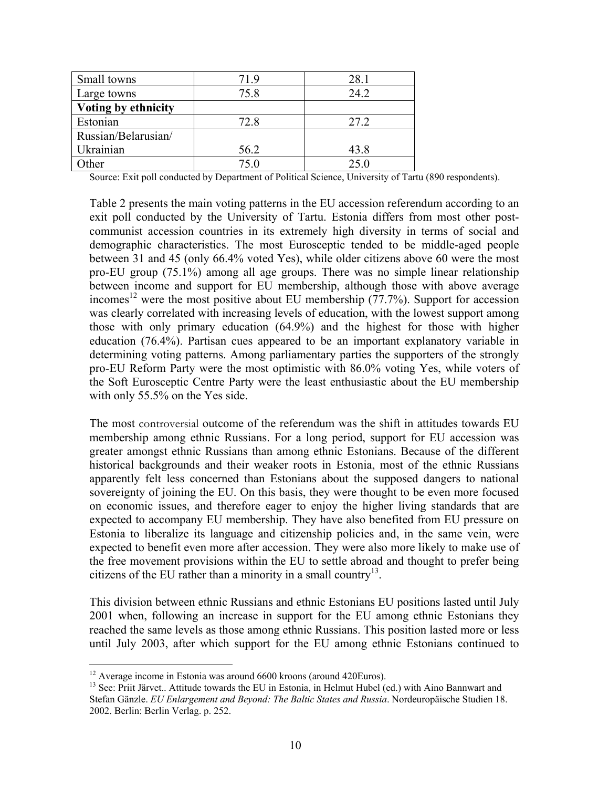| Small towns         | 719  | 28.1 |
|---------------------|------|------|
| Large towns         | 75.8 | 24.2 |
| Voting by ethnicity |      |      |
| Estonian            | 72.8 | 27.2 |
| Russian/Belarusian/ |      |      |
| Ukrainian           | 56.2 | 43.8 |
| )ther               | 75.0 | 250  |

Source: Exit poll conducted by Department of Political Science, University of Tartu (890 respondents).

Table 2 presents the main voting patterns in the EU accession referendum according to an exit poll conducted by the University of Tartu. Estonia differs from most other postcommunist accession countries in its extremely high diversity in terms of social and demographic characteristics. The most Eurosceptic tended to be middle-aged people between 31 and 45 (only 66.4% voted Yes), while older citizens above 60 were the most pro-EU group (75.1%) among all age groups. There was no simple linear relationship between income and support for EU membership, although those with above average incomes [12](#page-9-0) were the most positive about EU membership (77.7%). Support for accession was clearly correlated with increasing levels of education, with the lowest support among those with only primary education (64.9%) and the highest for those with higher education (76.4%). Partisan cues appeared to be an important explanatory variable in determining voting patterns. Among parliamentary parties the supporters of the strongly pro-EU Reform Party were the most optimistic with 86.0% voting Yes, while voters of the Soft Eurosceptic Centre Party were the least enthusiastic about the EU membership with only 55.5% on the Yes side.

The most controversial outcome of the referendum was the shift in attitudes towards EU membership among ethnic Russians. For a long period, support for EU accession was greater amongst ethnic Russians than among ethnic Estonians. Because of the different historical backgrounds and their weaker roots in Estonia, most of the ethnic Russians apparently felt less concerned than Estonians about the supposed dangers to national sovereignty of joining the EU. On this basis, they were thought to be even more focused on economic issues, and therefore eager to enjoy the higher living standards that are expected to accompany EU membership. They have also benefited from EU pressure on Estonia to liberalize its language and citizenship policies and, in the same vein, were expected to benefit even more after accession. They were also more likely to make use of the free movement provisions within the EU to settle abroad and thought to prefer being citizens of the EU rather than a minority in a small country<sup>13</sup>.

This division between ethnic Russians and ethnic Estonians EU positions lasted until July 2001 when, following an increase in support for the EU among ethnic Estonians they reached the same levels as those among ethnic Russians. This position lasted more or less until July 2003, after which support for the EU among ethnic Estonians continued to

<span id="page-9-0"></span> $12$  Average income in Estonia was around 6600 kroons (around 420 Euros).

<span id="page-9-1"></span><sup>&</sup>lt;sup>13</sup> See: Priit Järvet.. Attitude towards the EU in Estonia, in Helmut Hubel (ed.) with Aino Bannwart and Stefan Gänzle. *EU Enlargement and Beyond: The Baltic States and Russia*. Nordeuropäische Studien 18. 2002. Berlin: Berlin Verlag. p. 252.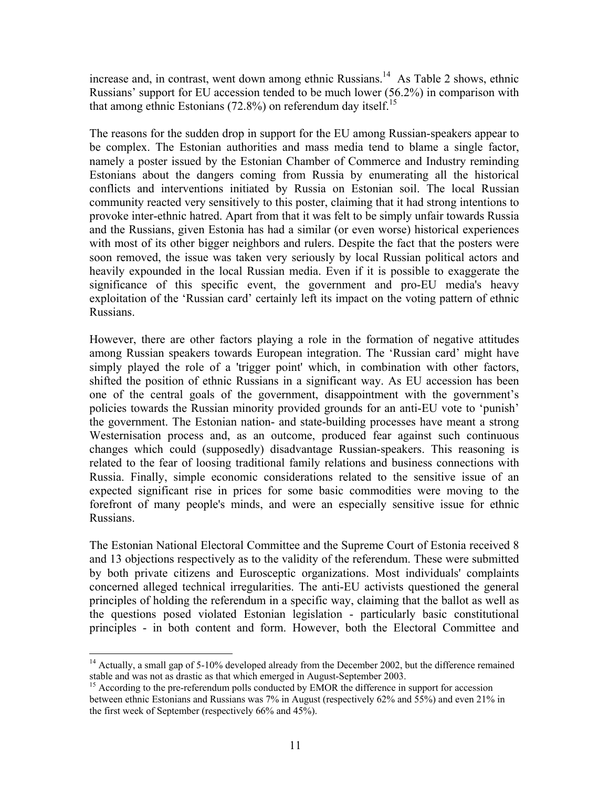increase and, in contrast, went down among ethnic Russians.<sup>14</sup> As Table 2 shows, ethnic Russians' support for EU accession tended to be much lower (56.2%) in comparison with that among ethnic Estonians  $(72.8\%)$  on referendum day itself.<sup>15</sup>

The reasons for the sudden drop in support for the EU among Russian-speakers appear to be complex. The Estonian authorities and mass media tend to blame a single factor, namely a poster issued by the Estonian Chamber of Commerce and Industry reminding Estonians about the dangers coming from Russia by enumerating all the historical conflicts and interventions initiated by Russia on Estonian soil. The local Russian community reacted very sensitively to this poster, claiming that it had strong intentions to provoke inter-ethnic hatred. Apart from that it was felt to be simply unfair towards Russia and the Russians, given Estonia has had a similar (or even worse) historical experiences with most of its other bigger neighbors and rulers. Despite the fact that the posters were soon removed, the issue was taken very seriously by local Russian political actors and heavily expounded in the local Russian media. Even if it is possible to exaggerate the significance of this specific event, the government and pro-EU media's heavy exploitation of the 'Russian card' certainly left its impact on the voting pattern of ethnic Russians.

However, there are other factors playing a role in the formation of negative attitudes among Russian speakers towards European integration. The 'Russian card' might have simply played the role of a 'trigger point' which, in combination with other factors, shifted the position of ethnic Russians in a significant way. As EU accession has been one of the central goals of the government, disappointment with the government's policies towards the Russian minority provided grounds for an anti-EU vote to 'punish' the government. The Estonian nation- and state-building processes have meant a strong Westernisation process and, as an outcome, produced fear against such continuous changes which could (supposedly) disadvantage Russian-speakers. This reasoning is related to the fear of loosing traditional family relations and business connections with Russia. Finally, simple economic considerations related to the sensitive issue of an expected significant rise in prices for some basic commodities were moving to the forefront of many people's minds, and were an especially sensitive issue for ethnic Russians.

The Estonian National Electoral Committee and the Supreme Court of Estonia received 8 and 13 objections respectively as to the validity of the referendum. These were submitted by both private citizens and Eurosceptic organizations. Most individuals' complaints concerned alleged technical irregularities. The anti-EU activists questioned the general principles of holding the referendum in a specific way, claiming that the ballot as well as the questions posed violated Estonian legislation - particularly basic constitutional principles - in both content and form. However, both the Electoral Committee and

<span id="page-10-0"></span><sup>1</sup> <sup>14</sup> Actually, a small gap of 5-10% developed already from the December 2002, but the difference remained stable and was not as drastic as that which emerged in August-September 2003.<br><sup>15</sup> According to the pre-referendum polls conducted by EMOR the difference in support for accession

<span id="page-10-1"></span>between ethnic Estonians and Russians was 7% in August (respectively 62% and 55%) and even 21% in the first week of September (respectively 66% and 45%).